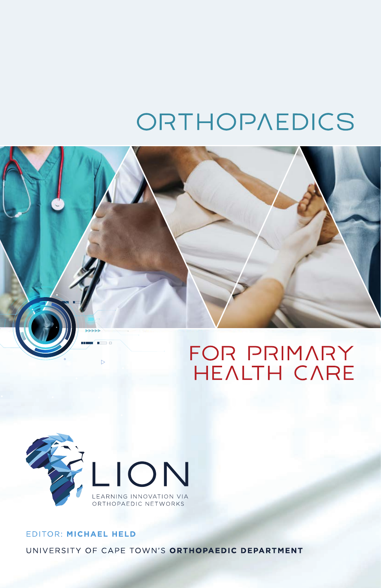# ORTHOPAEDICS





### EDITOR: MICHAEL HELD UNIVERSITY OF CAPE TOWN'S ORTHOPAEDIC DEPARTMENT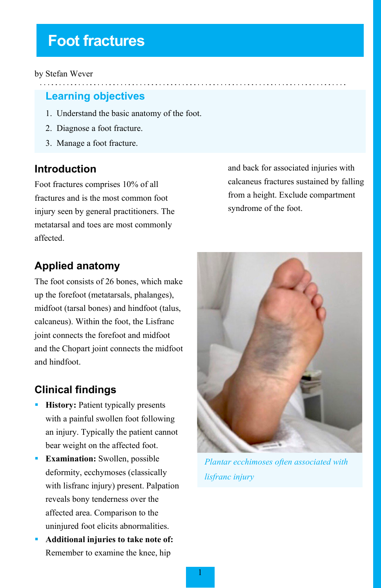## **Foot fractures**

#### by Stefan Wever

#### **Learning objectives**

- 1. Understand the basic anatomy of the foot.
- 2. Diagnose a foot fracture.
- 3. Manage a foot fracture.

#### **Introduction**

Foot fractures comprises 10% of all fractures and is the most common foot injury seen by general practitioners. The metatarsal and toes are most commonly affected.

and back for associated injuries with calcaneus fractures sustained by falling from a height. Exclude compartment syndrome of the foot.

## **Applied anatomy**

The foot consists of 26 bones, which make up the forefoot (metatarsals, phalanges), midfoot (tarsal bones) and hindfoot (talus, calcaneus). Within the foot, the Lisfranc joint connects the forefoot and midfoot and the Chopart joint connects the midfoot and hindfoot.

## **Clinical findings**

- **History:** Patient typically presents with a painful swollen foot following an injury. Typically the patient cannot bear weight on the affected foot.
- **Examination:** Swollen, possible deformity, ecchymoses (classically with lisfranc injury) present. Palpation reveals bony tenderness over the affected area. Comparison to the uninjured foot elicits abnormalities.
- **Additional injuries to take note of:** Remember to examine the knee, hip



*Plantar ecchimoses often associated with lisfranc injury*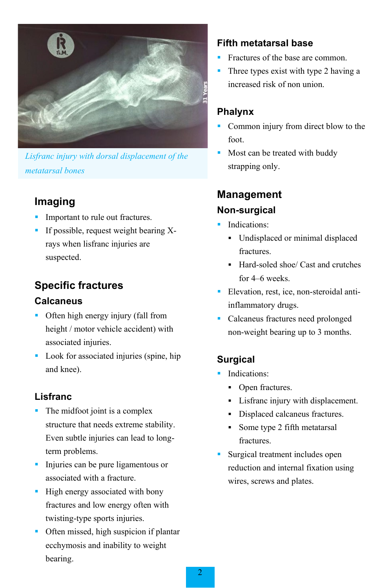

*Lisfranc injury with dorsal displacement of the metatarsal bones*

## **Imaging**

- Important to rule out fractures.
- If possible, request weight bearing Xrays when lisfranc injuries are suspected.

## **Specific fractures Calcaneus**

- Often high energy injury (fall from height / motor vehicle accident) with associated injuries.
- **Look** for associated injuries (spine, hip and knee).

#### **Lisfranc**

- The midfoot joint is a complex structure that needs extreme stability. Even subtle injuries can lead to longterm problems.
- Injuries can be pure ligamentous or associated with a fracture.
- **High energy associated with bony** fractures and low energy often with twisting-type sports injuries.
- Often missed, high suspicion if plantar ecchymosis and inability to weight bearing.

#### **Fifth metatarsal base**

- Fractures of the base are common.
- Three types exist with type 2 having a increased risk of non union.

### **Phalynx**

- Common injury from direct blow to the foot.
- Most can be treated with buddy strapping only.

## **Management Non-surgical**

- Indications:
	- Undisplaced or minimal displaced fractures.
	- Hard-soled shoe/ Cast and crutches for 4–6 weeks.
- Elevation, rest, ice, non-steroidal antiinflammatory drugs.
- Calcaneus fractures need prolonged non-weight bearing up to 3 months.

## **Surgical**

- **Indications:** 
	- Open fractures.
	- Lisfranc injury with displacement.
	- Displaced calcaneus fractures.
	- Some type 2 fifth metatarsal fractures.
- Surgical treatment includes open reduction and internal fixation using wires, screws and plates.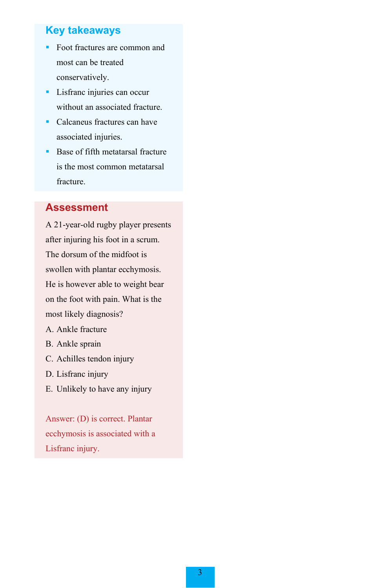#### **Key takeaways**

- Foot fractures are common and most can be treated conservatively.
- **Lisfranc injuries can occur** without an associated fracture.
- Calcaneus fractures can have associated injuries.
- **Base of fifth metatarsal fracture** is the most common metatarsal fracture.

#### **Assessment**

A 21-year-old rugby player presents after injuring his foot in a scrum. The dorsum of the midfoot is swollen with plantar ecchymosis. He is however able to weight bear on the foot with pain. What is the most likely diagnosis?

- A. Ankle fracture
- B. Ankle sprain
- C. Achilles tendon injury
- D. Lisfranc injury
- E. Unlikely to have any injury

Answer: (D) is correct. Plantar ecchymosis is associated with a Lisfranc injury.